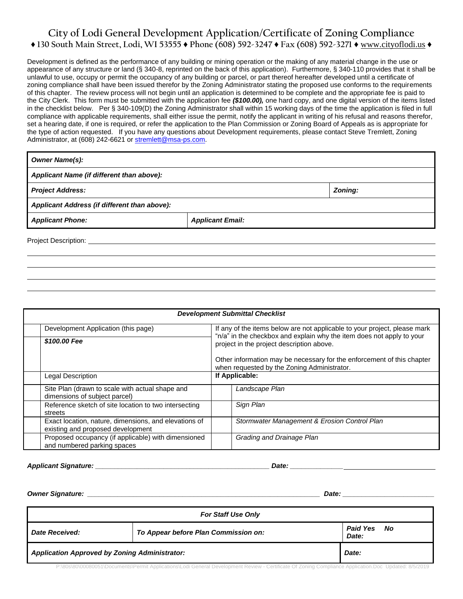# **City of Lodi General Development Application/Certificate of Zoning Compliance ♦ 130 South Main Street, Lodi, WI 53555 ♦ Phone (608) 592-3247 ♦ Fax (608) 592-3271 ♦** www.cityoflodi.us **♦**

Development is defined as the performance of any building or mining operation or the making of any material change in the use or appearance of any structure or land (§ 340-8, reprinted on the back of this application). Furthermore, § 340-110 provides that it shall be unlawful to use, occupy or permit the occupancy of any building or parcel, or part thereof hereafter developed until a certificate of zoning compliance shall have been issued therefor by the Zoning Administrator stating the proposed use conforms to the requirements of this chapter. The review process will not begin until an application is determined to be complete and the appropriate fee is paid to the City Clerk. This form must be submitted with the application fee *(\$100.00),* one hard copy, and one digital version of the items listed in the checklist below. Per § 340-109(D) the Zoning Administrator shall within 15 working days of the time the application is filed in full compliance with applicable requirements, shall either issue the permit, notify the applicant in writing of his refusal and reasons therefor, set a hearing date, if one is required, or refer the application to the Plan Commission or Zoning Board of Appeals as is appropriate for the type of action requested. If you have any questions about Development requirements, please contact Steve Tremlett, Zoning Administrator, at (608) 242-6621 o[r stremlett@msa-ps.com.](mailto:stremlett@msa-ps.com)

| <b>Owner Name(s):</b>                        |                         |         |  |  |  |
|----------------------------------------------|-------------------------|---------|--|--|--|
| Applicant Name (if different than above):    |                         |         |  |  |  |
| <b>Project Address:</b>                      |                         | Zoning: |  |  |  |
| Applicant Address (if different than above): |                         |         |  |  |  |
| <b>Applicant Phone:</b>                      | <b>Applicant Email:</b> |         |  |  |  |
| <b>Project Description:</b>                  |                         |         |  |  |  |

| <b>Development Submittal Checklist</b>                                                     |                                                                                                                                                                                                 |                                                                                                                       |  |  |  |
|--------------------------------------------------------------------------------------------|-------------------------------------------------------------------------------------------------------------------------------------------------------------------------------------------------|-----------------------------------------------------------------------------------------------------------------------|--|--|--|
| Development Application (this page)                                                        | If any of the items below are not applicable to your project, please mark<br>"n/a" in the checkbox and explain why the item does not apply to your<br>project in the project description above. |                                                                                                                       |  |  |  |
| \$100.00 Fee                                                                               |                                                                                                                                                                                                 |                                                                                                                       |  |  |  |
|                                                                                            |                                                                                                                                                                                                 | Other information may be necessary for the enforcement of this chapter<br>when requested by the Zoning Administrator. |  |  |  |
| Legal Description                                                                          | If Applicable:                                                                                                                                                                                  |                                                                                                                       |  |  |  |
| Site Plan (drawn to scale with actual shape and<br>dimensions of subject parcel)           |                                                                                                                                                                                                 | Landscape Plan                                                                                                        |  |  |  |
| Reference sketch of site location to two intersecting<br>streets                           |                                                                                                                                                                                                 | Sign Plan                                                                                                             |  |  |  |
| Exact location, nature, dimensions, and elevations of<br>existing and proposed development |                                                                                                                                                                                                 | Stormwater Management & Erosion Control Plan                                                                          |  |  |  |
| Proposed occupancy (if applicable) with dimensioned<br>and numbered parking spaces         |                                                                                                                                                                                                 | Grading and Drainage Plan                                                                                             |  |  |  |

*Applicant Signature: \_\_\_\_\_\_\_\_\_\_\_\_\_\_\_\_\_\_\_\_\_\_\_\_\_\_\_\_\_\_\_\_\_\_\_\_\_\_\_\_\_\_\_\_\_\_ Date: \_\_\_\_\_\_\_\_\_\_\_\_\_\_*

*Owner Signature: \_\_\_\_\_\_\_\_\_\_\_\_\_\_\_\_\_\_\_\_\_\_\_\_\_\_\_\_\_\_\_\_\_\_\_\_\_\_\_\_\_\_\_\_\_\_\_\_\_\_\_\_\_\_\_\_\_\_\_\_\_ Date: \_\_\_\_\_\_\_\_\_\_\_\_\_\_\_\_\_\_\_\_\_\_\_\_*

| <b>For Staff Use Only</b>                            |                                      |                                  |  |  |
|------------------------------------------------------|--------------------------------------|----------------------------------|--|--|
| <b>Date Received:</b>                                | To Appear before Plan Commission on: | <b>Paid Yes</b><br>. No<br>Date: |  |  |
| <b>Application Approved by Zoning Administrator:</b> |                                      | Date:                            |  |  |

P:\80s\80\00080051\Documents\Permit Applications\Lodi General Development Review - Certificate Of Zoning Compliance Application.Doc Updated: 8/5/2019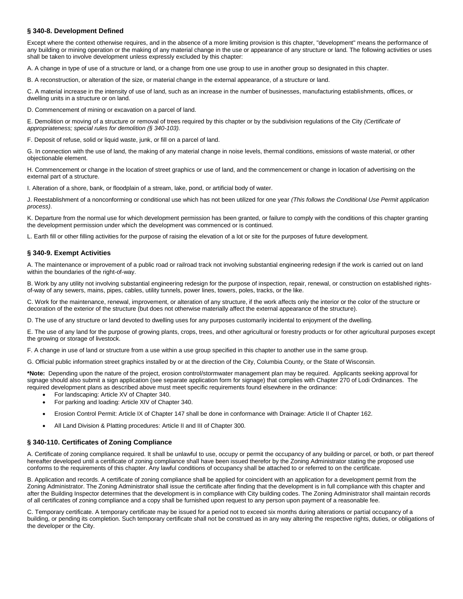### **§ 340-8. Development Defined**

Except where the context otherwise requires, and in the absence of a more limiting provision is this chapter, "development" means the performance of any building or mining operation or the making of any material change in the use or appearance of any structure or land. The following activities or uses shall be taken to involve development unless expressly excluded by this chapter:

A. A change in type of use of a structure or land, or a change from one use group to use in another group so designated in this chapter.

B. A reconstruction, or alteration of the size, or material change in the external appearance, of a structure or land.

C. A material increase in the intensity of use of land, such as an increase in the number of businesses, manufacturing establishments, offices, or dwelling units in a structure or on land.

D. Commencement of mining or excavation on a parcel of land.

E. Demolition or moving of a structure or removal of trees required by this chapter or by the subdivision regulations of the City *(Certificate of appropriateness; special rules for demolition (§ 340-103).*

F. Deposit of refuse, solid or liquid waste, junk, or fill on a parcel of land.

G. In connection with the use of land, the making of any material change in noise levels, thermal conditions, emissions of waste material, or other objectionable element.

H. Commencement or change in the location of street graphics or use of land, and the commencement or change in location of advertising on the external part of a structure.

I. Alteration of a shore, bank, or floodplain of a stream, lake, pond, or artificial body of water.

J. Reestablishment of a nonconforming or conditional use which has not been utilized for one year *(This follows the Conditional Use Permit application process)*.

K. Departure from the normal use for which development permission has been granted, or failure to comply with the conditions of this chapter granting the development permission under which the development was commenced or is continued.

L. Earth fill or other filling activities for the purpose of raising the elevation of a lot or site for the purposes of future development.

#### **§ 340-9. Exempt Activities**

A. The maintenance or improvement of a public road or railroad track not involving substantial engineering redesign if the work is carried out on land within the boundaries of the right-of-way.

B. Work by any utility not involving substantial engineering redesign for the purpose of inspection, repair, renewal, or construction on established rightsof-way of any sewers, mains, pipes, cables, utility tunnels, power lines, towers, poles, tracks, or the like.

C. Work for the maintenance, renewal, improvement, or alteration of any structure, if the work affects only the interior or the color of the structure or decoration of the exterior of the structure (but does not otherwise materially affect the external appearance of the structure).

D. The use of any structure or land devoted to dwelling uses for any purposes customarily incidental to enjoyment of the dwelling.

E. The use of any land for the purpose of growing plants, crops, trees, and other agricultural or forestry products or for other agricultural purposes except the growing or storage of livestock.

F. A change in use of land or structure from a use within a use group specified in this chapter to another use in the same group.

G. Official public information street graphics installed by or at the direction of the City, Columbia County, or the State of Wisconsin.

**\*Note:** Depending upon the nature of the project, erosion control/stormwater management plan may be required. Applicants seeking approval for signage should also submit a sign application (see separate application form for signage) that complies with Chapter 270 of Lodi Ordinances. The required development plans as described above must meet specific requirements found elsewhere in the ordinance:

- For landscaping: Article XV of Chapter 340.
- For parking and loading: Article XIV of Chapter 340.
- Erosion Control Permit: Article IX of Chapter 147 shall be done in conformance with Drainage: Article II of Chapter 162.
- All Land Division & Platting procedures: Article II and III of Chapter 300.

#### **§ 340-110. Certificates of Zoning Compliance**

A. Certificate of zoning compliance required. It shall be unlawful to use, occupy or permit the occupancy of any building or parcel, or both, or part thereof hereafter developed until a certificate of zoning compliance shall have been issued therefor by the Zoning Administrator stating the proposed use conforms to the requirements of this chapter. Any lawful conditions of occupancy shall be attached to or referred to on the certificate.

B. Application and records. A certificate of zoning compliance shall be applied for coincident with an application for a development permit from the Zoning Administrator. The Zoning Administrator shall issue the certificate after finding that the development is in full compliance with this chapter and after the Building Inspector determines that the development is in compliance with City building codes. The Zoning Administrator shall maintain records of all certificates of zoning compliance and a copy shall be furnished upon request to any person upon payment of a reasonable fee.

C. Temporary certificate. A temporary certificate may be issued for a period not to exceed six months during alterations or partial occupancy of a building, or pending its completion. Such temporary certificate shall not be construed as in any way altering the respective rights, duties, or obligations of the developer or the City.